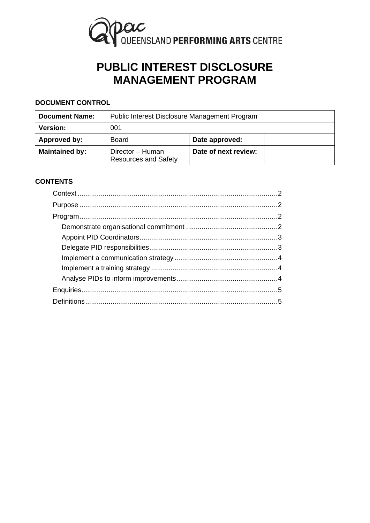

# **PUBLIC INTEREST DISCLOSURE MANAGEMENT PROGRAM**

# **DOCUMENT CONTROL**

| <b>Document Name:</b> | Public Interest Disclosure Management Program   |                      |  |
|-----------------------|-------------------------------------------------|----------------------|--|
| <b>Version:</b>       | 001                                             |                      |  |
| Approved by:          | Board                                           | Date approved:       |  |
| <b>Maintained by:</b> | Director - Human<br><b>Resources and Safety</b> | Date of next review: |  |

# **CONTENTS**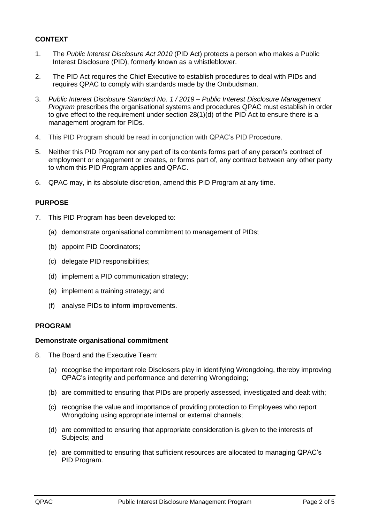# <span id="page-1-0"></span>**CONTEXT**

- 1. The *Public Interest Disclosure Act 2010* (PID Act) protects a person who makes a Public Interest Disclosure (PID), formerly known as a whistleblower.
- 2. The PID Act requires the Chief Executive to establish procedures to deal with PIDs and requires QPAC to comply with standards made by the Ombudsman.
- 3. *Public Interest Disclosure Standard No. 1 / 2019 – Public Interest Disclosure Management Program* prescribes the organisational systems and procedures QPAC must establish in order to give effect to the requirement under section 28(1)(d) of the PID Act to ensure there is a management program for PIDs.
- 4. This PID Program should be read in conjunction with QPAC's PID Procedure.
- 5. Neither this PID Program nor any part of its contents forms part of any person's contract of employment or engagement or creates, or forms part of, any contract between any other party to whom this PID Program applies and QPAC.
- <span id="page-1-1"></span>6. QPAC may, in its absolute discretion, amend this PID Program at any time.

#### **PURPOSE**

- 7. This PID Program has been developed to:
	- (a) demonstrate organisational commitment to management of PIDs;
	- (b) appoint PID Coordinators;
	- (c) delegate PID responsibilities;
	- (d) implement a PID communication strategy;
	- (e) implement a training strategy; and
	- (f) analyse PIDs to inform improvements.

#### <span id="page-1-3"></span><span id="page-1-2"></span>**PROGRAM**

#### **Demonstrate organisational commitment**

- 8. The Board and the Executive Team:
	- (a) recognise the important role Disclosers play in identifying Wrongdoing, thereby improving QPAC's integrity and performance and deterring Wrongdoing;
	- (b) are committed to ensuring that PIDs are properly assessed, investigated and dealt with;
	- (c) recognise the value and importance of providing protection to Employees who report Wrongdoing using appropriate internal or external channels;
	- (d) are committed to ensuring that appropriate consideration is given to the interests of Subjects; and
	- (e) are committed to ensuring that sufficient resources are allocated to managing QPAC's PID Program.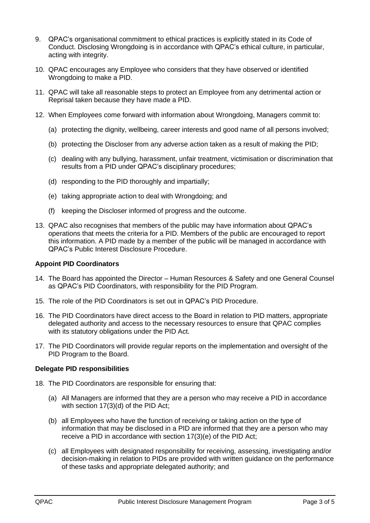- 9. QPAC's organisational commitment to ethical practices is explicitly stated in its Code of Conduct. Disclosing Wrongdoing is in accordance with QPAC's ethical culture, in particular, acting with integrity.
- 10. QPAC encourages any Employee who considers that they have observed or identified Wrongdoing to make a PID.
- 11. QPAC will take all reasonable steps to protect an Employee from any detrimental action or Reprisal taken because they have made a PID.
- 12. When Employees come forward with information about Wrongdoing, Managers commit to:
	- (a) protecting the dignity, wellbeing, career interests and good name of all persons involved;
	- (b) protecting the Discloser from any adverse action taken as a result of making the PID;
	- (c) dealing with any bullying, harassment, unfair treatment, victimisation or discrimination that results from a PID under QPAC's disciplinary procedures;
	- (d) responding to the PID thoroughly and impartially;
	- (e) taking appropriate action to deal with Wrongdoing; and
	- (f) keeping the Discloser informed of progress and the outcome.
- 13. QPAC also recognises that members of the public may have information about QPAC's operations that meets the criteria for a PID. Members of the public are encouraged to report this information. A PID made by a member of the public will be managed in accordance with QPAC's Public Interest Disclosure Procedure.

#### <span id="page-2-0"></span>**Appoint PID Coordinators**

- 14. The Board has appointed the Director Human Resources & Safety and one General Counsel as QPAC's PID Coordinators, with responsibility for the PID Program.
- 15. The role of the PID Coordinators is set out in QPAC's PID Procedure.
- 16. The PID Coordinators have direct access to the Board in relation to PID matters, appropriate delegated authority and access to the necessary resources to ensure that QPAC complies with its statutory obligations under the PID Act.
- 17. The PID Coordinators will provide regular reports on the implementation and oversight of the PID Program to the Board.

#### <span id="page-2-1"></span>**Delegate PID responsibilities**

- 18. The PID Coordinators are responsible for ensuring that:
	- (a) All Managers are informed that they are a person who may receive a PID in accordance with section 17(3)(d) of the PID Act;
	- (b) all Employees who have the function of receiving or taking action on the type of information that may be disclosed in a PID are informed that they are a person who may receive a PID in accordance with section 17(3)(e) of the PID Act;
	- (c) all Employees with designated responsibility for receiving, assessing, investigating and/or decision-making in relation to PIDs are provided with written guidance on the performance of these tasks and appropriate delegated authority; and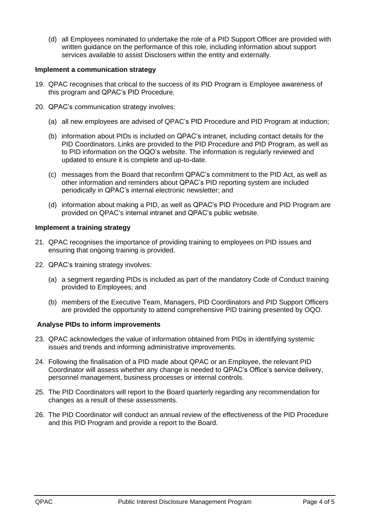(d) all Employees nominated to undertake the role of a PID Support Officer are provided with written guidance on the performance of this role, including information about support services available to assist Disclosers within the entity and externally.

#### <span id="page-3-0"></span>**Implement a communication strategy**

- 19. QPAC recognises that critical to the success of its PID Program is Employee awareness of this program and QPAC's PID Procedure.
- 20. QPAC's communication strategy involves:
	- (a) all new employees are advised of QPAC's PID Procedure and PID Program at induction;
	- (b) information about PIDs is included on QPAC's intranet, including contact details for the PID Coordinators. Links are provided to the PID Procedure and PID Program, as well as to PID information on the OQO's website. The information is regularly reviewed and updated to ensure it is complete and up-to-date.
	- (c) messages from the Board that reconfirm QPAC's commitment to the PID Act, as well as other information and reminders about QPAC's PID reporting system are included periodically in QPAC's internal electronic newsletter; and
	- (d) information about making a PID, as well as QPAC's PID Procedure and PID Program are provided on QPAC's internal intranet and QPAC's public website.

## <span id="page-3-1"></span>**Implement a training strategy**

- 21. QPAC recognises the importance of providing training to employees on PID issues and ensuring that ongoing training is provided.
- 22. QPAC's training strategy involves:
	- (a) a segment regarding PIDs is included as part of the mandatory Code of Conduct training provided to Employees; and
	- (b) members of the Executive Team, Managers, PID Coordinators and PID Support Officers are provided the opportunity to attend comprehensive PID training presented by OQO.

# <span id="page-3-2"></span>**Analyse PIDs to inform improvements**

- 23. QPAC acknowledges the value of information obtained from PIDs in identifying systemic issues and trends and informing administrative improvements.
- 24. Following the finalisation of a PID made about QPAC or an Employee, the relevant PID Coordinator will assess whether any change is needed to QPAC's Office's service delivery, personnel management, business processes or internal controls.
- 25. The PID Coordinators will report to the Board quarterly regarding any recommendation for changes as a result of these assessments.
- 26. The PID Coordinator will conduct an annual review of the effectiveness of the PID Procedure and this PID Program and provide a report to the Board.